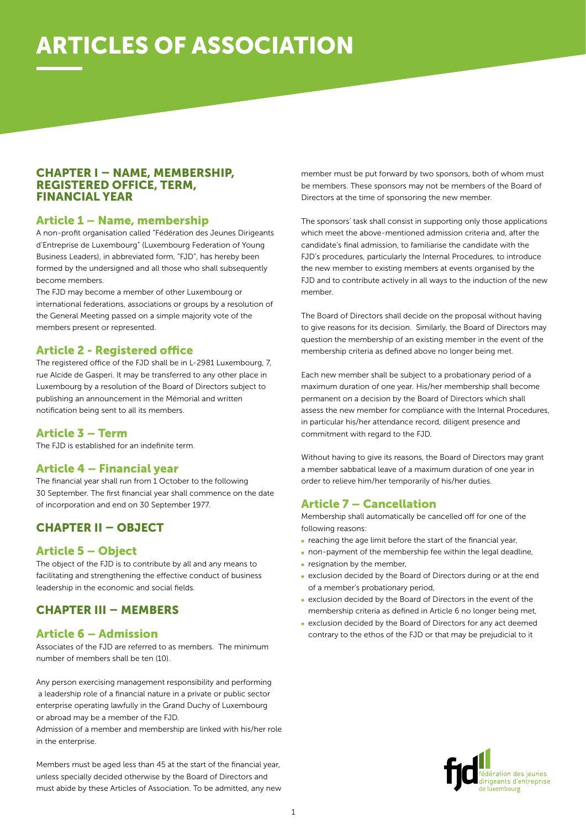# ARTICLES OF ASSOCIATION

#### CHAPTER I – NAME, MEMBERSHIP, REGISTERED OFFICE, TERM, FINANCIAL YEAR

#### Article 1 – Name, membership

A non-profit organisation called "Fédération des Jeunes Dirigeants d'Entreprise de Luxembourg" (Luxembourg Federation of Young Business Leaders), in abbreviated form, "FJD", has hereby been formed by the undersigned and all those who shall subsequently become members.

The FJD may become a member of other Luxembourg or international federations, associations or groups by a resolution of the General Meeting passed on a simple majority vote of the members present or represented.

#### Article 2 - Registered office

The registered office of the FJD shall be in L-2981 Luxembourg, 7, rue Alcide de Gasperi. It may be transferred to any other place in Luxembourg by a resolution of the Board of Directors subject to publishing an announcement in the Mémorial and written notification being sent to all its members.

#### Article 3 – Term

The FJD is established for an indefinite term.

#### Article 4 – Financial year

The financial year shall run from 1 October to the following 30 September. The first financial year shall commence on the date of incorporation and end on 30 September 1977.

# CHAPTER II – OBJECT

#### Article 5 – Object

The object of the FJD is to contribute by all and any means to facilitating and strengthening the effective conduct of business leadership in the economic and social fields.

# CHAPTER III – MEMBERS

#### Article 6 – Admission

Associates of the FJD are referred to as members. The minimum number of members shall be ten (10).

Any person exercising management responsibility and performing a leadership role of a financial nature in a private or public sector enterprise operating lawfully in the Grand Duchy of Luxembourg or abroad may be a member of the FJD.

Admission of a member and membership are linked with his/her role in the enterprise.

Members must be aged less than 45 at the start of the financial year, unless specially decided otherwise by the Board of Directors and must abide by these Articles of Association. To be admitted, any new member must be put forward by two sponsors, both of whom must be members. These sponsors may not be members of the Board of Directors at the time of sponsoring the new member.

The sponsors' task shall consist in supporting only those applications which meet the above-mentioned admission criteria and, after the candidate's final admission, to familiarise the candidate with the FJD's procedures, particularly the Internal Procedures, to introduce the new member to existing members at events organised by the FJD and to contribute actively in all ways to the induction of the new member.

The Board of Directors shall decide on the proposal without having to give reasons for its decision. Similarly, the Board of Directors may question the membership of an existing member in the event of the membership criteria as defined above no longer being met.

Each new member shall be subject to a probationary period of a maximum duration of one year. His/her membership shall become permanent on a decision by the Board of Directors which shall assess the new member for compliance with the Internal Procedures, in particular his/her attendance record, diligent presence and commitment with regard to the FJD.

Without having to give its reasons, the Board of Directors may grant a member sabbatical leave of a maximum duration of one year in order to relieve him/her temporarily of his/her duties.

#### Article 7 – Cancellation

Membership shall automatically be cancelled off for one of the following reasons:

- reaching the age limit before the start of the financial year,
- non-payment of the membership fee within the legal deadline,
- resignation by the member,
- exclusion decided by the Board of Directors during or at the end of a member's probationary period,
- exclusion decided by the Board of Directors in the event of the membership criteria as defined in Article 6 no longer being met,
- exclusion decided by the Board of Directors for any act deemed contrary to the ethos of the FJD or that may be prejudicial to it

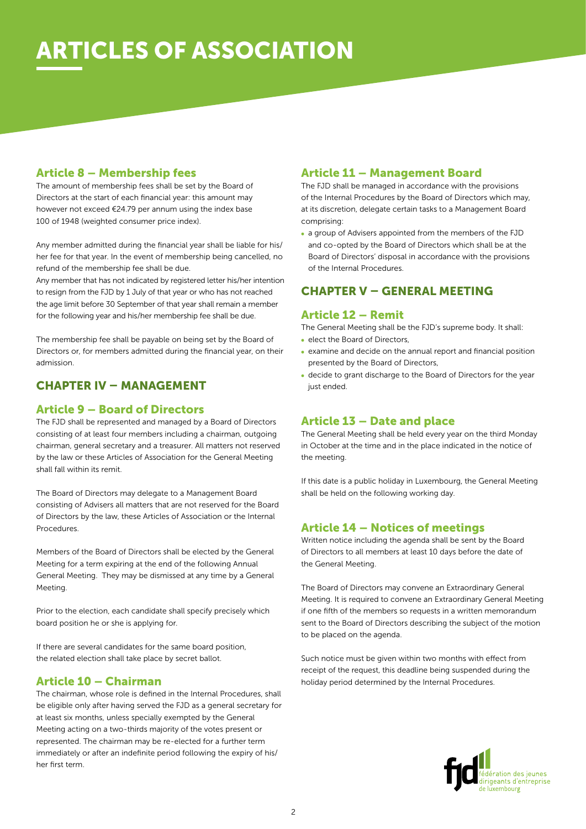# **RTICLES OF ASSOCIATION**

#### Article 8 – Membership fees

The amount of membership fees shall be set by the Board of Directors at the start of each financial year: this amount may however not exceed €24.79 per annum using the index base 100 of 1948 (weighted consumer price index).

Any member admitted during the financial year shall be liable for his/ her fee for that year. In the event of membership being cancelled, no refund of the membership fee shall be due.

Any member that has not indicated by registered letter his/her intention to resign from the FJD by 1 July of that year or who has not reached the age limit before 30 September of that year shall remain a member for the following year and his/her membership fee shall be due.

The membership fee shall be payable on being set by the Board of Directors or, for members admitted during the financial year, on their admission.

### CHAPTER IV – MANAGEMENT

#### Article 9 – Board of Directors

The FJD shall be represented and managed by a Board of Directors consisting of at least four members including a chairman, outgoing chairman, general secretary and a treasurer. All matters not reserved by the law or these Articles of Association for the General Meeting shall fall within its remit.

The Board of Directors may delegate to a Management Board consisting of Advisers all matters that are not reserved for the Board of Directors by the law, these Articles of Association or the Internal Procedures.

Members of the Board of Directors shall be elected by the General Meeting for a term expiring at the end of the following Annual General Meeting. They may be dismissed at any time by a General Meeting.

Prior to the election, each candidate shall specify precisely which board position he or she is applying for.

If there are several candidates for the same board position, the related election shall take place by secret ballot.

#### Article 10 – Chairman

The chairman, whose role is defined in the Internal Procedures, shall be eligible only after having served the FJD as a general secretary for at least six months, unless specially exempted by the General Meeting acting on a two-thirds majority of the votes present or represented. The chairman may be re-elected for a further term immediately or after an indefinite period following the expiry of his/ her first term.

#### Article 11 – Management Board

The FJD shall be managed in accordance with the provisions of the Internal Procedures by the Board of Directors which may, at its discretion, delegate certain tasks to a Management Board comprising:

a group of Advisers appointed from the members of the FJD and co-opted by the Board of Directors which shall be at the Board of Directors' disposal in accordance with the provisions of the Internal Procedures.

### CHAPTER V – GENERAL MEETING

#### Article 12 – Remit

The General Meeting shall be the FJD's supreme body. It shall: • elect the Board of Directors,

- examine and decide on the annual report and financial position presented by the Board of Directors,
- decide to grant discharge to the Board of Directors for the year just ended.

#### Article 13 – Date and place

The General Meeting shall be held every year on the third Monday in October at the time and in the place indicated in the notice of the meeting.

If this date is a public holiday in Luxembourg, the General Meeting shall be held on the following working day.

#### Article 14 – Notices of meetings

Written notice including the agenda shall be sent by the Board of Directors to all members at least 10 days before the date of the General Meeting.

The Board of Directors may convene an Extraordinary General Meeting. It is required to convene an Extraordinary General Meeting if one fifth of the members so requests in a written memorandum sent to the Board of Directors describing the subject of the motion to be placed on the agenda.

Such notice must be given within two months with effect from receipt of the request, this deadline being suspended during the holiday period determined by the Internal Procedures.

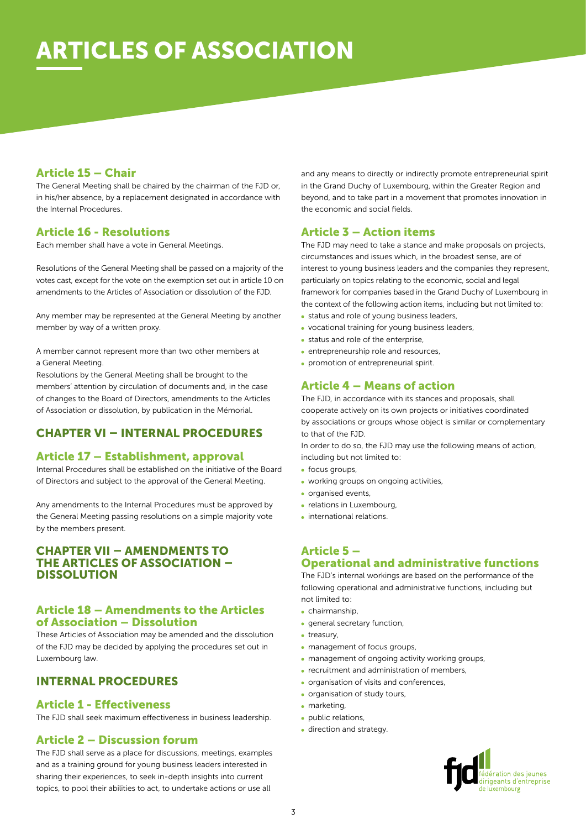### Article 15 – Chair

The General Meeting shall be chaired by the chairman of the FJD or, in his/her absence, by a replacement designated in accordance with the Internal Procedures.

#### Article 16 - Resolutions

Each member shall have a vote in General Meetings.

Resolutions of the General Meeting shall be passed on a majority of the votes cast, except for the vote on the exemption set out in article 10 on amendments to the Articles of Association or dissolution of the FJD.

Any member may be represented at the General Meeting by another member by way of a written proxy.

A member cannot represent more than two other members at a General Meeting.

Resolutions by the General Meeting shall be brought to the members' attention by circulation of documents and, in the case of changes to the Board of Directors, amendments to the Articles of Association or dissolution, by publication in the Mémorial.

# CHAPTER VI – INTERNAL PROCEDURES

# Article 17 – Establishment, approval

Internal Procedures shall be established on the initiative of the Board of Directors and subject to the approval of the General Meeting.

Any amendments to the Internal Procedures must be approved by the General Meeting passing resolutions on a simple majority vote by the members present.

#### CHAPTER VII – AMENDMENTS TO THE ARTICLES OF ASSOCIATION – **DISSOLUTION**

#### Article 18 – Amendments to the Articles of Association – Dissolution

These Articles of Association may be amended and the dissolution of the FJD may be decided by applying the procedures set out in Luxembourg law.

# INTERNAL PROCEDURES

#### Article 1 - Effectiveness

The FJD shall seek maximum effectiveness in business leadership.

### Article 2 – Discussion forum

The FJD shall serve as a place for discussions, meetings, examples and as a training ground for young business leaders interested in sharing their experiences, to seek in-depth insights into current topics, to pool their abilities to act, to undertake actions or use all

and any means to directly or indirectly promote entrepreneurial spirit in the Grand Duchy of Luxembourg, within the Greater Region and beyond, and to take part in a movement that promotes innovation in the economic and social fields.

### Article 3 – Action items

The FJD may need to take a stance and make proposals on projects, circumstances and issues which, in the broadest sense, are of interest to young business leaders and the companies they represent, particularly on topics relating to the economic, social and legal framework for companies based in the Grand Duchy of Luxembourg in the context of the following action items, including but not limited to:

- status and role of young business leaders,
- vocational training for young business leaders, • status and role of the enterprise,
- entrepreneurship role and resources,
- promotion of entrepreneurial spirit.

# Article 4 – Means of action

The FJD, in accordance with its stances and proposals, shall cooperate actively on its own projects or initiatives coordinated by associations or groups whose object is similar or complementary to that of the FJD.

In order to do so, the FJD may use the following means of action, including but not limited to:

- focus groups,
- working groups on ongoing activities,
- **organised events,**
- relations in Luxembourg,
- international relations.

#### Article 5 – Operational and administrative functions

The FJD's internal workings are based on the performance of the following operational and administrative functions, including but not limited to:

- chairmanship,
- general secretary function,
- treasury.
- management of focus groups,
- management of ongoing activity working groups,
- recruitment and administration of members,
- organisation of visits and conferences,
- organisation of study tours,
- marketing,
- public relations,
- direction and strategy.

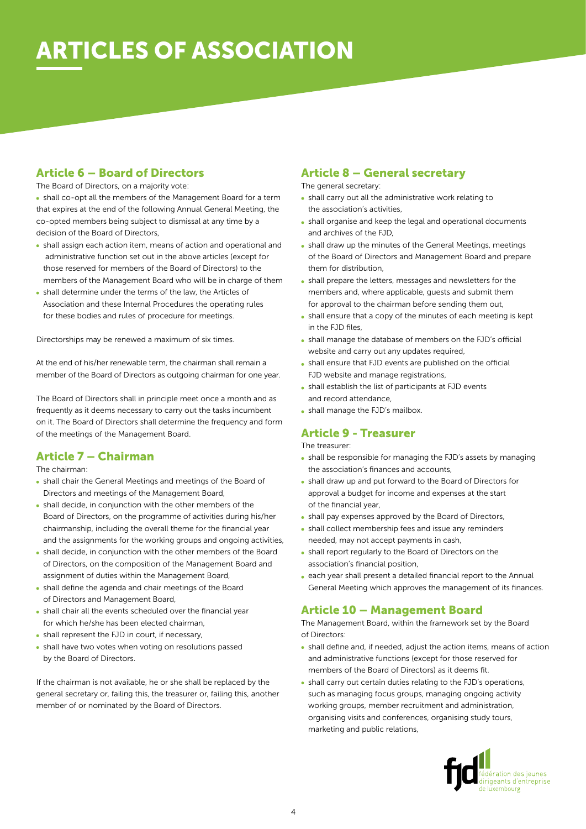# **RTICLES OF ASSOCIATION**

# Article 6 – Board of Directors

The Board of Directors, on a majority vote:

shall co-opt all the members of the Management Board for a term that expires at the end of the following Annual General Meeting, the co-opted members being subject to dismissal at any time by a decision of the Board of Directors,

- shall assign each action item, means of action and operational and administrative function set out in the above articles (except for those reserved for members of the Board of Directors) to the members of the Management Board who will be in charge of them
- shall determine under the terms of the law, the Articles of Association and these Internal Procedures the operating rules for these bodies and rules of procedure for meetings.

Directorships may be renewed a maximum of six times.

At the end of his/her renewable term, the chairman shall remain a member of the Board of Directors as outgoing chairman for one year.

The Board of Directors shall in principle meet once a month and as frequently as it deems necessary to carry out the tasks incumbent on it. The Board of Directors shall determine the frequency and form of the meetings of the Management Board.

# Article 7 – Chairman

The chairman:

- shall chair the General Meetings and meetings of the Board of Directors and meetings of the Management Board,
- shall decide, in conjunction with the other members of the Board of Directors, on the programme of activities during his/her chairmanship, including the overall theme for the financial year and the assignments for the working groups and ongoing activities,
- shall decide, in conjunction with the other members of the Board of Directors, on the composition of the Management Board and assignment of duties within the Management Board,
- shall define the agenda and chair meetings of the Board of Directors and Management Board,
- shall chair all the events scheduled over the financial year for which he/she has been elected chairman,
- shall represent the FJD in court, if necessary,
- shall have two votes when voting on resolutions passed by the Board of Directors.

If the chairman is not available, he or she shall be replaced by the general secretary or, failing this, the treasurer or, failing this, another member of or nominated by the Board of Directors.

# Article 8 – General secretary

The general secretary:

- shall carry out all the administrative work relating to the association's activities,
- shall organise and keep the legal and operational documents and archives of the FJD,
- shall draw up the minutes of the General Meetings, meetings of the Board of Directors and Management Board and prepare them for distribution,
- shall prepare the letters, messages and newsletters for the members and, where applicable, guests and submit them for approval to the chairman before sending them out,
- shall ensure that a copy of the minutes of each meeting is kept in the FJD files,
- shall manage the database of members on the FJD's official website and carry out any updates required,
- shall ensure that FJD events are published on the official FJD website and manage registrations,
- shall establish the list of participants at FJD events and record attendance,
- shall manage the FJD's mailbox.

# Article 9 - Treasurer

The treasurer:

- shall be responsible for managing the FJD's assets by managing the association's finances and accounts,
- shall draw up and put forward to the Board of Directors for approval a budget for income and expenses at the start of the financial year,
- shall pay expenses approved by the Board of Directors,
- shall collect membership fees and issue any reminders needed, may not accept payments in cash,
- shall report regularly to the Board of Directors on the association's financial position,
- each year shall present a detailed financial report to the Annual General Meeting which approves the management of its finances.

# Article 10 – Management Board

The Management Board, within the framework set by the Board of Directors:

- shall define and, if needed, adjust the action items, means of action and administrative functions (except for those reserved for members of the Board of Directors) as it deems fit.
- shall carry out certain duties relating to the FJD's operations, such as managing focus groups, managing ongoing activity working groups, member recruitment and administration, organising visits and conferences, organising study tours, marketing and public relations,

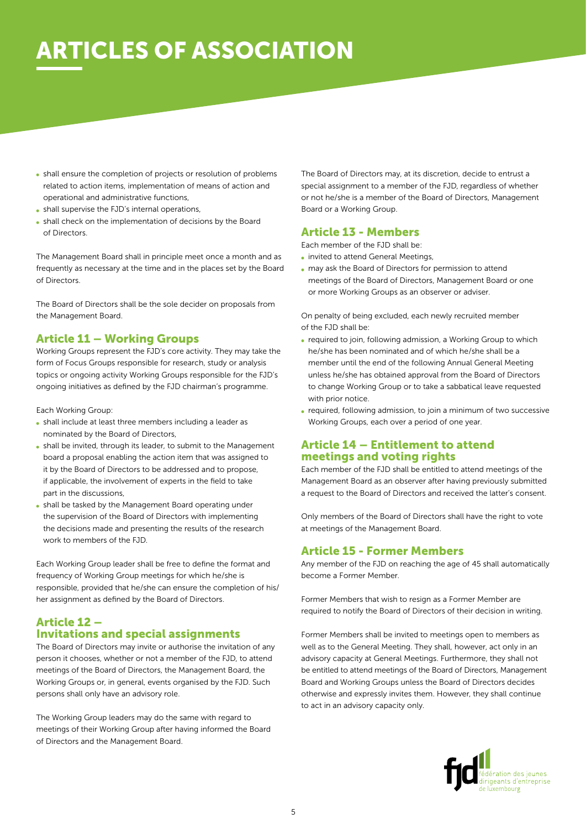# **RTICLES OF ASSOCIATION**

- shall ensure the completion of projects or resolution of problems related to action items, implementation of means of action and operational and administrative functions,
- shall supervise the FJD's internal operations,
- shall check on the implementation of decisions by the Board of Directors.

The Management Board shall in principle meet once a month and as frequently as necessary at the time and in the places set by the Board of Directors.

The Board of Directors shall be the sole decider on proposals from the Management Board.

#### Article 11 – Working Groups

Working Groups represent the FJD's core activity. They may take the form of Focus Groups responsible for research, study or analysis topics or ongoing activity Working Groups responsible for the FJD's ongoing initiatives as defined by the FJD chairman's programme.

Each Working Group:

- shall include at least three members including a leader as nominated by the Board of Directors,
- shall be invited, through its leader, to submit to the Management board a proposal enabling the action item that was assigned to it by the Board of Directors to be addressed and to propose, if applicable, the involvement of experts in the field to take part in the discussions,
- shall be tasked by the Management Board operating under the supervision of the Board of Directors with implementing the decisions made and presenting the results of the research work to members of the FJD.

Each Working Group leader shall be free to define the format and frequency of Working Group meetings for which he/she is responsible, provided that he/she can ensure the completion of his/ her assignment as defined by the Board of Directors.

# Article 12 – Invitations and special assignments

The Board of Directors may invite or authorise the invitation of any person it chooses, whether or not a member of the FJD, to attend meetings of the Board of Directors, the Management Board, the Working Groups or, in general, events organised by the FJD. Such persons shall only have an advisory role.

The Working Group leaders may do the same with regard to meetings of their Working Group after having informed the Board of Directors and the Management Board.

The Board of Directors may, at its discretion, decide to entrust a special assignment to a member of the FJD, regardless of whether or not he/she is a member of the Board of Directors, Management Board or a Working Group.

### Article 13 - Members

Each member of the FJD shall be:

- invited to attend General Meetings,
- may ask the Board of Directors for permission to attend meetings of the Board of Directors, Management Board or one or more Working Groups as an observer or adviser.

On penalty of being excluded, each newly recruited member of the FJD shall be:

- required to join, following admission, a Working Group to which he/she has been nominated and of which he/she shall be a member until the end of the following Annual General Meeting unless he/she has obtained approval from the Board of Directors to change Working Group or to take a sabbatical leave requested with prior notice.
- required, following admission, to join a minimum of two successive Working Groups, each over a period of one year.

#### Article 14 – Entitlement to attend meetings and voting rights

Each member of the FJD shall be entitled to attend meetings of the Management Board as an observer after having previously submitted a request to the Board of Directors and received the latter's consent.

Only members of the Board of Directors shall have the right to vote at meetings of the Management Board.

# Article 15 - Former Members

Any member of the FJD on reaching the age of 45 shall automatically become a Former Member.

Former Members that wish to resign as a Former Member are required to notify the Board of Directors of their decision in writing.

Former Members shall be invited to meetings open to members as well as to the General Meeting. They shall, however, act only in an advisory capacity at General Meetings. Furthermore, they shall not be entitled to attend meetings of the Board of Directors, Management Board and Working Groups unless the Board of Directors decides otherwise and expressly invites them. However, they shall continue to act in an advisory capacity only.